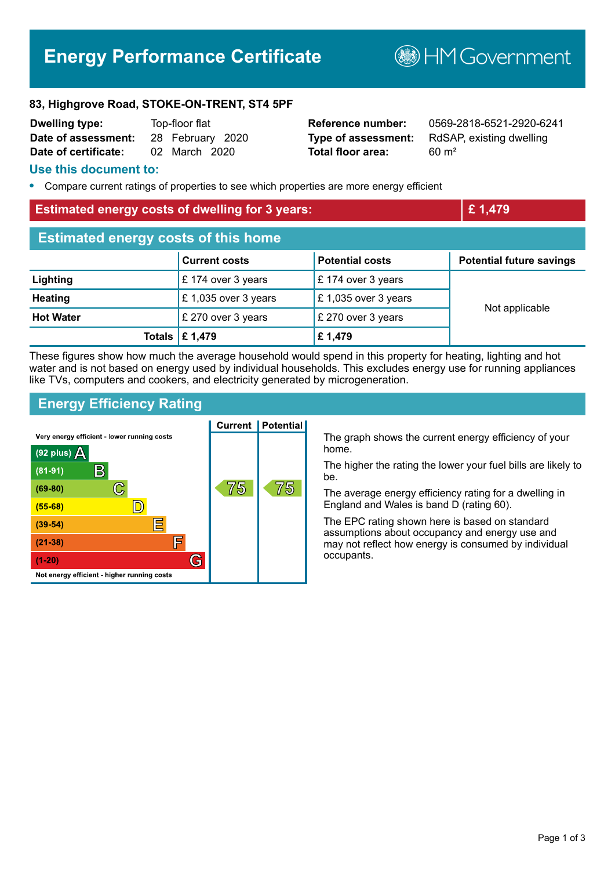# **Energy Performance Certificate**

**B**HMGovernment

#### **83, Highgrove Road, STOKE-ON-TRENT, ST4 5PF**

| <b>Dwelling type:</b> | Top-floor flat |                  |  |
|-----------------------|----------------|------------------|--|
| Date of assessment:   |                | 28 February 2020 |  |
| Date of certificate:  |                | 02 March 2020    |  |

**Total floor area:** 60 m<sup>2</sup>

**Reference number:** 0569-2818-6521-2920-6241 **Type of assessment:** RdSAP, existing dwelling

#### **Use this document to:**

**•** Compare current ratings of properties to see which properties are more energy efficient

#### **Estimated energy costs of dwelling for 3 years: <b>EXECUTE:** 1,479

| <b>Estimated energy costs of this home</b> |                                 |                        |                                 |  |
|--------------------------------------------|---------------------------------|------------------------|---------------------------------|--|
|                                            | <b>Current costs</b>            | <b>Potential costs</b> | <b>Potential future savings</b> |  |
| Lighting                                   | $\mathsf{E}$ 174 over 3 years   | £174 over 3 years      | Not applicable                  |  |
| <b>Heating</b>                             | £ 1,035 over 3 years            | £ 1,035 over 3 years   |                                 |  |
| <b>Hot Water</b>                           | £ 270 over 3 years              | £ 270 over 3 years     |                                 |  |
|                                            | Totals $\mathbf \epsilon$ 1,479 | £1,479                 |                                 |  |

These figures show how much the average household would spend in this property for heating, lighting and hot water and is not based on energy used by individual households. This excludes energy use for running appliances like TVs, computers and cookers, and electricity generated by microgeneration.

## **Energy Efficiency Rating**



The graph shows the current energy efficiency of your home.

The higher the rating the lower your fuel bills are likely to be.

The average energy efficiency rating for a dwelling in England and Wales is band D (rating 60).

The EPC rating shown here is based on standard assumptions about occupancy and energy use and may not reflect how energy is consumed by individual occupants.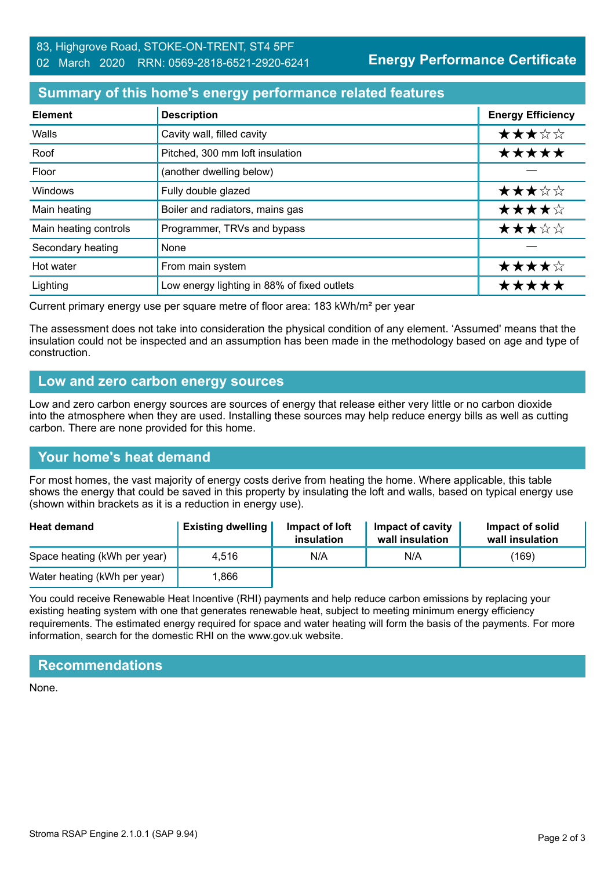**Energy Performance Certificate**

## **Summary of this home's energy performance related features**

| <b>Element</b>        | <b>Description</b>                          | <b>Energy Efficiency</b> |
|-----------------------|---------------------------------------------|--------------------------|
| Walls                 | Cavity wall, filled cavity                  | ★★★☆☆                    |
| Roof                  | Pitched, 300 mm loft insulation             | *****                    |
| Floor                 | (another dwelling below)                    |                          |
| Windows               | Fully double glazed                         | ★★★☆☆                    |
| Main heating          | Boiler and radiators, mains gas             | ★★★★☆                    |
| Main heating controls | Programmer, TRVs and bypass                 | ★★★☆☆                    |
| Secondary heating     | None                                        |                          |
| Hot water             | From main system                            | ★★★★☆                    |
| Lighting              | Low energy lighting in 88% of fixed outlets | *****                    |

Current primary energy use per square metre of floor area: 183 kWh/m² per year

The assessment does not take into consideration the physical condition of any element. 'Assumed' means that the insulation could not be inspected and an assumption has been made in the methodology based on age and type of construction.

## **Low and zero carbon energy sources**

Low and zero carbon energy sources are sources of energy that release either very little or no carbon dioxide into the atmosphere when they are used. Installing these sources may help reduce energy bills as well as cutting carbon. There are none provided for this home.

# **Your home's heat demand**

For most homes, the vast majority of energy costs derive from heating the home. Where applicable, this table shows the energy that could be saved in this property by insulating the loft and walls, based on typical energy use (shown within brackets as it is a reduction in energy use).

| <b>Heat demand</b>           | <b>Existing dwelling</b> | Impact of loft<br>insulation | Impact of cavity<br>wall insulation | Impact of solid<br>wall insulation |
|------------------------------|--------------------------|------------------------------|-------------------------------------|------------------------------------|
| Space heating (kWh per year) | 4.516                    | N/A                          | N/A                                 | (169)                              |
| Water heating (kWh per year) | .866                     |                              |                                     |                                    |

You could receive Renewable Heat Incentive (RHI) payments and help reduce carbon emissions by replacing your existing heating system with one that generates renewable heat, subject to meeting minimum energy efficiency requirements. The estimated energy required for space and water heating will form the basis of the payments. For more information, search for the domestic RHI on the www.gov.uk website.

# **Recommendations**

None.